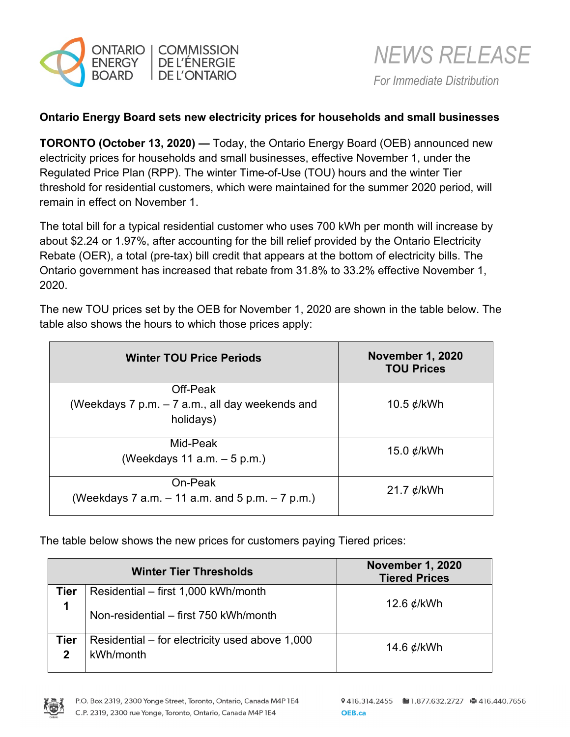



## **Ontario Energy Board sets new electricity prices for households and small businesses**

**TORONTO (October 13, 2020) —** Today, the Ontario Energy Board (OEB) announced new electricity prices for households and small businesses, effective November 1, under the Regulated Price Plan (RPP). The winter Time-of-Use (TOU) hours and the winter Tier threshold for residential customers, which were maintained for the summer 2020 period, will remain in effect on November 1.

The total bill for a typical residential customer who uses 700 kWh per month will increase by about \$2.24 or 1.97%, after accounting for the bill relief provided by the Ontario Electricity Rebate (OER), a total (pre-tax) bill credit that appears at the bottom of electricity bills. The Ontario government has increased that rebate from 31.8% to 33.2% effective November 1, 2020.

The new TOU prices set by the OEB for November 1, 2020 are shown in the table below. The table also shows the hours to which those prices apply:

| <b>Winter TOU Price Periods</b>                                             | <b>November 1, 2020</b><br><b>TOU Prices</b> |
|-----------------------------------------------------------------------------|----------------------------------------------|
| Off-Peak<br>(Weekdays $7$ p.m. $-7$ a.m., all day weekends and<br>holidays) | 10.5 $\phi$ /kWh                             |
| Mid-Peak<br>(Weekdays 11 a.m. $-5$ p.m.)                                    | 15.0 $\phi$ /kWh                             |
| On-Peak<br>(Weekdays 7 a.m. $-$ 11 a.m. and 5 p.m. $-$ 7 p.m.)              | 21.7 $\phi$ /kWh                             |

The table below shows the new prices for customers paying Tiered prices:

|           | <b>Winter Tier Thresholds</b>                               | <b>November 1, 2020</b><br><b>Tiered Prices</b> |
|-----------|-------------------------------------------------------------|-------------------------------------------------|
| Tier      | Residential - first 1,000 kWh/month                         |                                                 |
|           | Non-residential - first 750 kWh/month                       | 12.6 $\rlap{/}$ $\rlap{/}$ kWh                  |
| Tier<br>2 | Residential – for electricity used above 1,000<br>kWh/month | 14.6 $\phi$ /kWh                                |

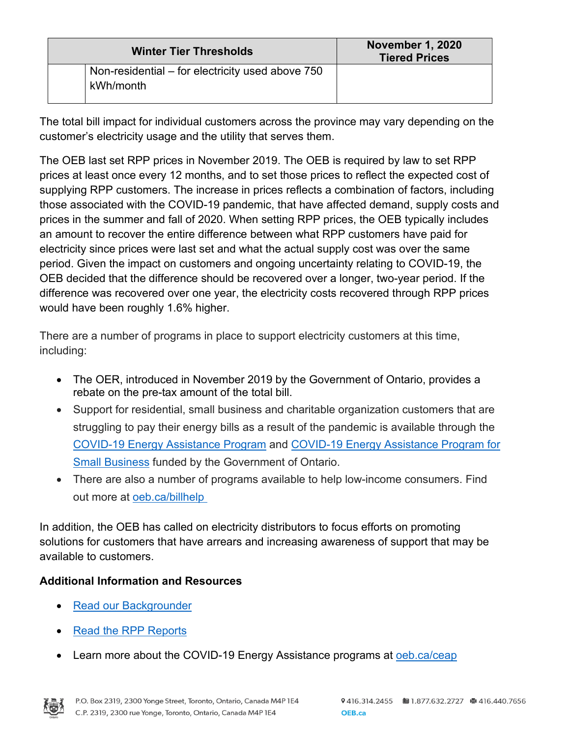| <b>Winter Tier Thresholds</b>                    | <b>November 1, 2020</b><br><b>Tiered Prices</b> |
|--------------------------------------------------|-------------------------------------------------|
| Non-residential – for electricity used above 750 |                                                 |
| kWh/month                                        |                                                 |

The total bill impact for individual customers across the province may vary depending on the customer's electricity usage and the utility that serves them.

The OEB last set RPP prices in November 2019. The OEB is required by law to set RPP prices at least once every 12 months, and to set those prices to reflect the expected cost of supplying RPP customers. The increase in prices reflects a combination of factors, including those associated with the COVID-19 pandemic, that have affected demand, supply costs and prices in the summer and fall of 2020. When setting RPP prices, the OEB typically includes an amount to recover the entire difference between what RPP customers have paid for electricity since prices were last set and what the actual supply cost was over the same period. Given the impact on customers and ongoing uncertainty relating to COVID-19, the OEB decided that the difference should be recovered over a longer, two-year period. If the difference was recovered over one year, the electricity costs recovered through RPP prices would have been roughly 1.6% higher.

There are a number of programs in place to support electricity customers at this time, including:

- The OER, introduced in November 2019 by the Government of Ontario, provides a rebate on the pre-tax amount of the total bill.
- Support for residential, small business and charitable organization customers that are struggling to pay their energy bills as a result of the pandemic is available through the [COVID-19 Energy Assistance Program](https://www.oeb.ca/rates-and-your-bill/covid-19-energy-assistance-programs) and [COVID-19 Energy Assistance Program for](https://www.oeb.ca/rates-and-your-bill/covid-19-energy-assistance-programs)  [Small Business](https://www.oeb.ca/rates-and-your-bill/covid-19-energy-assistance-programs) funded by the Government of Ontario.
- There are also a number of programs available to help low-income consumers. Find out more at [oeb.ca/billhelp](https://www.oeb.ca/rates-and-your-bill/help-low-income-consumers)

In addition, the OEB has called on electricity distributors to focus efforts on promoting solutions for customers that have arrears and increasing awareness of support that may be available to customers.

# **Additional Information and Resources**

- Read our Backgrounder
- [Read the RPP Reports](https://www.oeb.ca/industry/policy-initiatives-and-consultations/regulated-price-plan-rpp)
- Learn more about the COVID-19 Energy Assistance programs at [oeb.ca/ceap](https://www.oeb.ca/ceap)